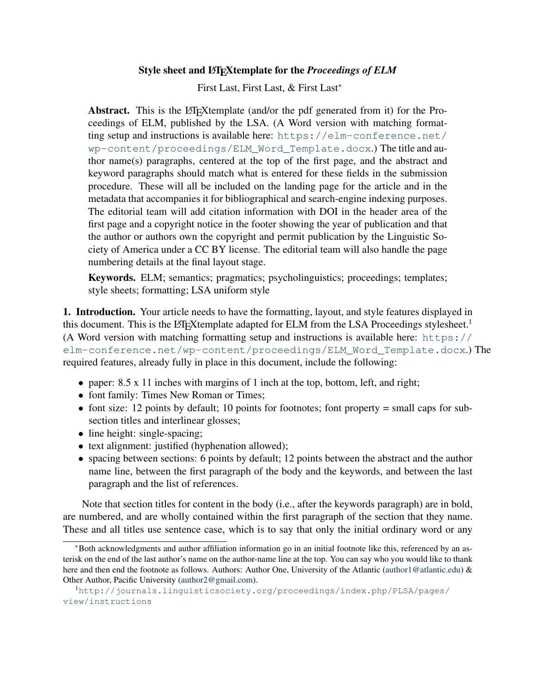## Style sheet and LATEXtemplate for the *Proceedings of ELM*

First Last, First Last, & First Last<sup>∗</sup>

Abstract. This is the L<sup>AT</sup>EXtemplate (and/or the pdf generated from it) for the Proceedings of ELM, published by the LSA. (A Word version with matching formatting setup and instructions is available here: [https://elm-conference.net/](https://elm-conference.net/wp-content/proceedings/ELM_Word_Template.docx) [wp-content/proceedings/ELM\\_Word\\_Template.docx](https://elm-conference.net/wp-content/proceedings/ELM_Word_Template.docx).) The title and author name(s) paragraphs, centered at the top of the first page, and the abstract and keyword paragraphs should match what is entered for these fields in the submission procedure. These will all be included on the landing page for the article and in the metadata that accompanies it for bibliographical and search-engine indexing purposes. The editorial team will add citation information with DOI in the header area of the first page and a copyright notice in the footer showing the year of publication and that the author or authors own the copyright and permit publication by the Linguistic Society of America under a CC BY license. The editorial team will also handle the page numbering details at the final layout stage.

Keywords. ELM; semantics; pragmatics; psycholinguistics; proceedings; templates; style sheets; formatting; LSA uniform style

1. Introduction. Your article needs to have the formatting, layout, and style features displayed in this document. This is the LAT<sub>E</sub>Xtemplate adapted for ELM from the LSA Proceedings stylesheet.<sup>[1](#page-0-0)</sup> (A Word version with matching formatting setup and instructions is available here: [https://](https://elm-conference.net/wp-content/proceedings/ELM_Word_Template.docx) [elm-conference.net/wp-content/proceedings/ELM\\_Word\\_Template.docx](https://elm-conference.net/wp-content/proceedings/ELM_Word_Template.docx).) The required features, already fully in place in this document, include the following:

- paper: 8.5 x 11 inches with margins of 1 inch at the top, bottom, left, and right;
- font family: Times New Roman or Times;
- font size: 12 points by default; 10 points for footnotes; font property  $=$  small caps for subsection titles and interlinear glosses;
- line height: single-spacing;
- text alignment: justified (hyphenation allowed);
- spacing between sections: 6 points by default; 12 points between the abstract and the author name line, between the first paragraph of the body and the keywords, and between the last paragraph and the list of references.

Note that section titles for content in the body (i.e., after the keywords paragraph) are in bold, are numbered, and are wholly contained within the first paragraph of the section that they name. These and all titles use sentence case, which is to say that only the initial ordinary word or any

<sup>∗</sup>Both acknowledgments and author affiliation information go in an initial footnote like this, referenced by an asterisk on the end of the last author's name on the author-name line at the top. You can say who you would like to thank here and then end the footnote as follows. Authors: Author One, University of the Atlantic [\(author1@atlantic.edu\)](mailto:author1@atlantic.edu) & Other Author, Pacific University [\(author2@gmail.com\)](mailto:author2@gmail.com).

<span id="page-0-0"></span><sup>1</sup>[http://journals.linguisticsociety.org/proceedings/index.php/PLSA/pages/](http://journals.linguisticsociety.org/proceedings/index.php/PLSA/pages/view/instructions) [view/instructions](http://journals.linguisticsociety.org/proceedings/index.php/PLSA/pages/view/instructions)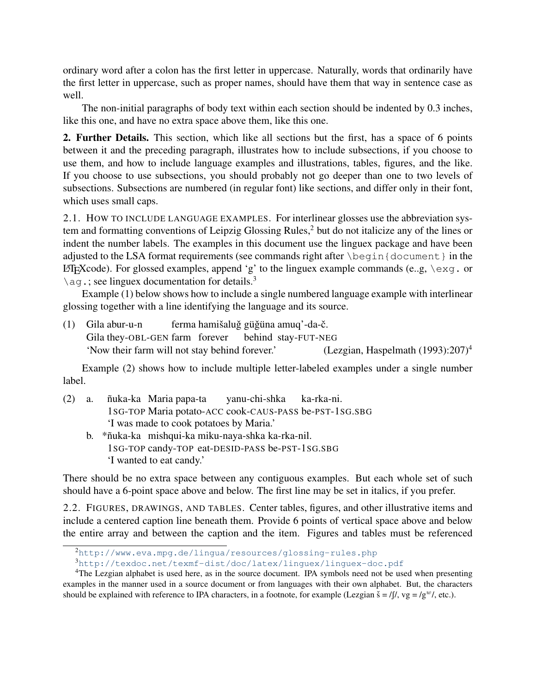ordinary word after a colon has the first letter in uppercase. Naturally, words that ordinarily have the first letter in uppercase, such as proper names, should have them that way in sentence case as well.

The non-initial paragraphs of body text within each section should be indented by 0.3 inches, like this one, and have no extra space above them, like this one.

2. Further Details. This section, which like all sections but the first, has a space of 6 points between it and the preceding paragraph, illustrates how to include subsections, if you choose to use them, and how to include language examples and illustrations, tables, figures, and the like. If you choose to use subsections, you should probably not go deeper than one to two levels of subsections. Subsections are numbered (in regular font) like sections, and differ only in their font, which uses small caps.

2.1. HOW TO INCLUDE LANGUAGE EXAMPLES. For interlinear glosses use the abbreviation sys-tem and formatting conventions of Leipzig Glossing Rules,<sup>[2](#page-1-0)</sup> but do not italicize any of the lines or indent the number labels. The examples in this document use the linguex package and have been adjusted to the LSA format requirements (see commands right after \begin{document} in the LATEXCODE). For glossed examples, append 'g' to the linguex example commands (e.g,  $\text{exg. or}$  $\aq$ .; see linguex documentation for details.<sup>[3](#page-1-1)</sup>

Example [\(1\)](#page-1-2) below shows how to include a single numbered language example with interlinear glossing together with a line identifying the language and its source.

<span id="page-1-2"></span>(1) Gila abur-u-n Gila they-OBL-GEN farm forever ferma hamišaluğ güğüna amuq'-da-č. behind stay-FUT-NEG 'Now their farm will not stay behind forever.' (Lezgian, [Haspelmath](#page-3-0)  $(1993):207)^4$  $(1993):207)^4$  $(1993):207)^4$ 

Example [\(2\)](#page-1-4) shows how to include multiple letter-labeled examples under a single number label.

- <span id="page-1-4"></span>(2) a. nuka-ka ˜ Maria papa-ta 1SG-TOP Maria potato-ACC cook-CAUS-PASS be-PST-1SG.SBG yanu-chi-shka ka-rka-ni. 'I was made to cook potatoes by Maria.'
	- b. \*ñuka-ka mishqui-ka miku-naya-shka ka-rka-nil. 1SG-TOP candy-TOP eat-DESID-PASS be-PST-1SG.SBG 'I wanted to eat candy.'

There should be no extra space between any contiguous examples. But each whole set of such should have a 6-point space above and below. The first line may be set in italics, if you prefer.

2.2. FIGURES, DRAWINGS, AND TABLES. Center tables, figures, and other illustrative items and include a centered caption line beneath them. Provide 6 points of vertical space above and below the entire array and between the caption and the item. Figures and tables must be referenced

<span id="page-1-0"></span><sup>2</sup><http://www.eva.mpg.de/lingua/resources/glossing-rules.php>

<span id="page-1-3"></span><span id="page-1-1"></span><sup>3</sup><http://texdoc.net/texmf-dist/doc/latex/linguex/linguex-doc.pdf>

<sup>&</sup>lt;sup>4</sup>The Lezgian alphabet is used here, as in the source document. IPA symbols need not be used when presenting examples in the manner used in a source document or from languages with their own alphabet. But, the characters should be explained with reference to IPA characters, in a footnote, for example (Lezgian  $\check{s} = f/\zeta$ ,  $vg = /g^{\omega}/f$ , etc.).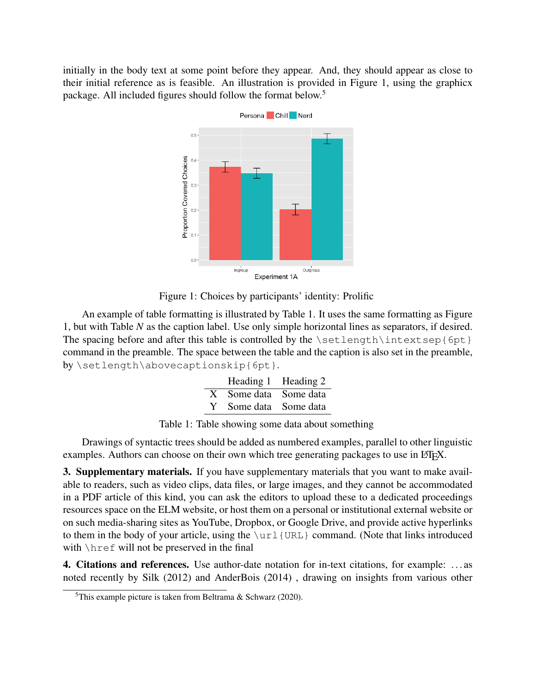initially in the body text at some point before they appear. And, they should appear as close to their initial reference as is feasible. An illustration is provided in Figure 1, using the graphicx package. All included figures should follow the format below.<sup>[5](#page-2-0)</sup>



<span id="page-2-2"></span>Figure 1: Choices by participants' identity: Prolific

An example of table formatting is illustrated by Table [1.](#page-2-1) It uses the same formatting as Figure [1,](#page-2-2) but with Table *N* as the caption label. Use only simple horizontal lines as separators, if desired. The spacing before and after this table is controlled by the \setlength\intextsep{6pt} command in the preamble. The space between the table and the caption is also set in the preamble, by \setlength\abovecaptionskip{6pt}.

| Heading 1 Heading 2   |  |
|-----------------------|--|
| X Some data Some data |  |
| Y Some data Some data |  |

<span id="page-2-1"></span>Table 1: Table showing some data about something

Drawings of syntactic trees should be added as numbered examples, parallel to other linguistic examples. Authors can choose on their own which tree generating packages to use in  $\Delta E$ F

3. Supplementary materials. If you have supplementary materials that you want to make available to readers, such as video clips, data files, or large images, and they cannot be accommodated in a PDF article of this kind, you can ask the editors to upload these to a dedicated proceedings resources space on the ELM website, or host them on a personal or institutional external website or on such media-sharing sites as YouTube, Dropbox, or Google Drive, and provide active hyperlinks to them in the body of your article, using the  $\ucl\{URL\}$  command. (Note that links introduced with \href will not be preserved in the final

4. Citations and references. Use author-date notation for in-text citations, for example: . . . as noted recently by [Silk](#page-3-1) [\(2012\)](#page-3-1) and [AnderBois](#page-3-2) [\(2014\)](#page-3-2) , drawing on insights from various other

<span id="page-2-0"></span><sup>&</sup>lt;sup>5</sup>This example picture is taken from [Beltrama & Schwarz](#page-3-3) [\(2020\)](#page-3-3).